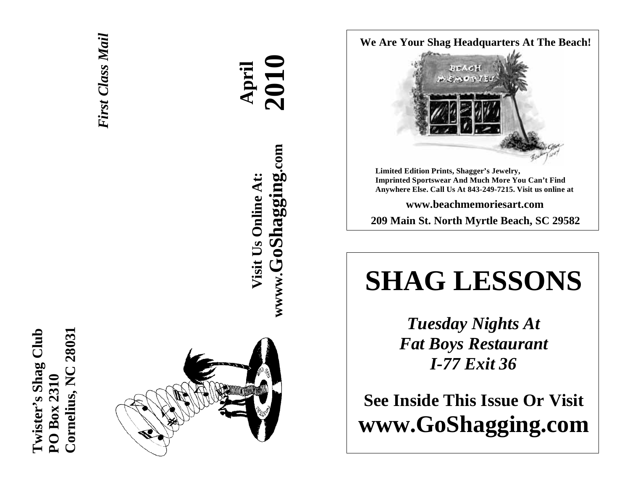



# **April 2010 wwww.GoShagging.com** www.GoShagging.com **Visit Us Online At:** Visit Us Online At:

#### **We Are Your Shag Headquarters At The Beach!**



**Limited Edition Prints, Shagger's Jewelry, Imprinted Sportswear And Much More You Can't Find Anywhere Else. Call Us At 843-249-7215. Visit us online at** 

**www.beachmemoriesart.com** 

**209 Main St. North Myrtle Beach, SC 29582**

## **SHAG LESSONS**

*Tuesday Nights At Fat Boys Restaurant I-77 Exit 36* 

**See Inside This Issue Or Visit www.GoShagging.com**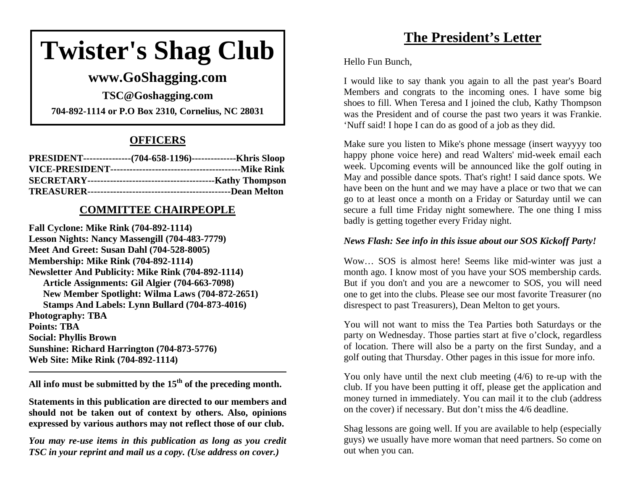## **Twister's Shag Club**

## **www.GoShagging.com**

**TSC@Goshagging.com 704-892-1114 or P.O Box 2310, Cornelius, NC 28031** 

### **OFFICERS**

| PRESIDENT----------------(704-658-1196)----------------Khris Sloop |  |
|--------------------------------------------------------------------|--|
|                                                                    |  |
|                                                                    |  |
|                                                                    |  |

#### **COMMITTEE CHAIRPEOPLE**

**Fall Cyclone: Mike Rink (704-892-1114) Lesson Nights: Nancy Massengill (704-483-7779) Meet And Greet: Susan Dahl (704-528-8005) Membership: Mike Rink (704-892-1114) Newsletter And Publicity: Mike Rink (704-892-1114) Article Assignments: Gil Algier (704-663-7098) New Member Spotlight: Wilma Laws (704-872-2651) Stamps And Labels: Lynn Bullard (704-873-4016) Photography: TBA Points: TBA Social: Phyllis Brown Sunshine: Richard Harrington (704-873-5776) Web Site: Mike Rink (704-892-1114)** 

**All info must be submitted by the 15th of the preceding month.** 

**Statements in this publication are directed to our members and should not be taken out of context by others. Also, opinions expressed by various authors may not reflect those of our club.** 

*You may re-use items in this publication as long as you credit TSC in your reprint and mail us a copy. (Use address on cover.)* 

## **The President's Letter**

Hello Fun Bunch,

I would like to say thank you again to all the past year's Board Members and congrats to the incoming ones. I have some big shoes to fill. When Teresa and I joined the club, Kathy Thompson was the President and of course the past two years it was Frankie. 'Nuff said! I hope I can do as good of a job as they did.

Make sure you listen to Mike's phone message (insert wayyyy too happy phone voice here) and read Walters' mid-week email each week. Upcoming events will be announced like the golf outing in May and possible dance spots. That's right! I said dance spots. We have been on the hunt and we may have a place or two that we can go to at least once a month on a Friday or Saturday until we can secure a full time Friday night somewhere. The one thing I miss badly is getting together every Friday night.

#### *News Flash: See info in this issue about our SOS Kickoff Party!*

Wow… SOS is almost here! Seems like mid-winter was just a month ago. I know most of you have your SOS membership cards. But if you don't and you are a newcomer to SOS, you will need one to get into the clubs. Please see our most favorite Treasurer (no disrespect to past Treasurers), Dean Melton to get yours.

You will not want to miss the Tea Parties both Saturdays or the party on Wednesday. Those parties start at five o'clock, regardless of location. There will also be a party on the first Sunday, and a golf outing that Thursday. Other pages in this issue for more info.

You only have until the next club meeting (4/6) to re-up with the club. If you have been putting it off, please get the application and money turned in immediately. You can mail it to the club (address on the cover) if necessary. But don't miss the 4/6 deadline.

Shag lessons are going well. If you are available to help (especially guys) we usually have more woman that need partners. So come on out when you can.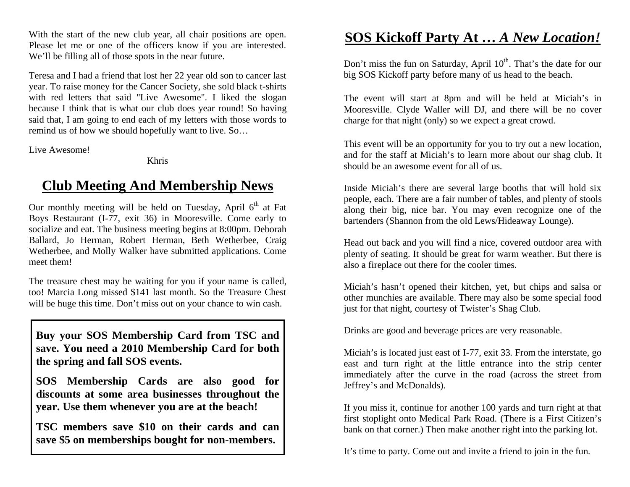With the start of the new club year, all chair positions are open. Please let me or one of the officers know if you are interested. We'll be filling all of those spots in the near future.

Teresa and I had a friend that lost her 22 year old son to cancer last year. To raise money for the Cancer Society, she sold black t-shirts with red letters that said "Live Awesome". I liked the slogan because I think that is what our club does year round! So having said that, I am going to end each of my letters with those words to remind us of how we should hopefully want to live. So…

Live Awesome!

Khris

## **Club Meeting And Membership News**

Our monthly meeting will be held on Tuesday, April  $6<sup>th</sup>$  at Fat Boys Restaurant (I-77, exit 36) in Mooresville. Come early to socialize and eat. The business meeting begins at 8:00pm. Deborah Ballard, Jo Herman, Robert Herman, Beth Wetherbee, Craig Wetherbee, and Molly Walker have submitted applications. Come meet them!

The treasure chest may be waiting for you if your name is called, too! Marcia Long missed \$141 last month. So the Treasure Chest will be huge this time. Don't miss out on your chance to win cash.

**Buy your SOS Membership Card from TSC and save. You need a 2010 Membership Card for both the spring and fall SOS events.** 

**SOS Membership Cards are also good for discounts at some area businesses throughout the year. Use them whenever you are at the beach!** 

**TSC members save \$10 on their cards and can save \$5 on memberships bought for non-members.** 

## **SOS Kickoff Party At …** *A New Location!*

Don't miss the fun on Saturday, April  $10<sup>th</sup>$ . That's the date for our big SOS Kickoff party before many of us head to the beach.

The event will start at 8pm and will be held at Miciah's in Mooresville. Clyde Waller will DJ, and there will be no cover charge for that night (only) so we expect a great crowd.

This event will be an opportunity for you to try out a new location, and for the staff at Miciah's to learn more about our shag club. It should be an awesome event for all of us.

Inside Miciah's there are several large booths that will hold six people, each. There are a fair number of tables, and plenty of stools along their big, nice bar. You may even recognize one of the bartenders (Shannon from the old Lews/Hideaway Lounge).

Head out back and you will find a nice, covered outdoor area with plenty of seating. It should be great for warm weather. But there is also a fireplace out there for the cooler times.

Miciah's hasn't opened their kitchen, yet, but chips and salsa or other munchies are available. There may also be some special food just for that night, courtesy of Twister's Shag Club.

Drinks are good and beverage prices are very reasonable.

Miciah's is located just east of I-77, exit 33. From the interstate, go east and turn right at the little entrance into the strip center immediately after the curve in the road (across the street from Jeffrey's and McDonalds).

If you miss it, continue for another 100 yards and turn right at that first stoplight onto Medical Park Road. (There is a First Citizen's bank on that corner.) Then make another right into the parking lot.

It's time to party. Come out and invite a friend to join in the fun.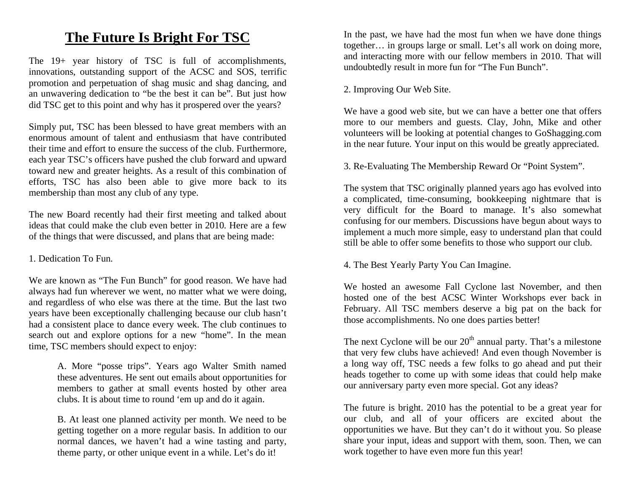## **The Future Is Bright For TSC**

The 19+ year history of TSC is full of accomplishments, innovations, outstanding support of the ACSC and SOS, terrific promotion and perpetuation of shag music and shag dancing, and an unwavering dedication to "be the best it can be". But just how did TSC get to this point and why has it prospered over the years?

Simply put, TSC has been blessed to have great members with an enormous amount of talent and enthusiasm that have contributed their time and effort to ensure the success of the club. Furthermore, each year TSC's officers have pushed the club forward and upward toward new and greater heights. As a result of this combination of efforts, TSC has also been able to give more back to its membership than most any club of any type.

The new Board recently had their first meeting and talked about ideas that could make the club even better in 2010. Here are a few of the things that were discussed, and plans that are being made:

#### 1. Dedication To Fun.

We are known as "The Fun Bunch" for good reason. We have had always had fun wherever we went, no matter what we were doing, and regardless of who else was there at the time. But the last two years have been exceptionally challenging because our club hasn't had a consistent place to dance every week. The club continues to search out and explore options for a new "home". In the mean time, TSC members should expect to enjoy:

> A. More "posse trips". Years ago Walter Smith named these adventures. He sent out emails about opportunities for members to gather at small events hosted by other area clubs. It is about time to round 'em up and do it again.

> B. At least one planned activity per month. We need to be getting together on a more regular basis. In addition to our normal dances, we haven't had a wine tasting and party, theme party, or other unique event in a while. Let's do it!

In the past, we have had the most fun when we have done things together… in groups large or small. Let's all work on doing more, and interacting more with our fellow members in 2010. That will undoubtedly result in more fun for "The Fun Bunch".

#### 2. Improving Our Web Site.

We have a good web site, but we can have a better one that offers more to our members and guests. Clay, John, Mike and other volunteers will be looking at potential changes to GoShagging.com in the near future. Your input on this would be greatly appreciated.

3. Re-Evaluating The Membership Reward Or "Point System".

The system that TSC originally planned years ago has evolved into a complicated, time-consuming, bookkeeping nightmare that is very difficult for the Board to manage. It's also somewhat confusing for our members. Discussions have begun about ways to implement a much more simple, easy to understand plan that could still be able to offer some benefits to those who support our club.

4. The Best Yearly Party You Can Imagine.

We hosted an awesome Fall Cyclone last November, and then hosted one of the best ACSC Winter Workshops ever back in February. All TSC members deserve a big pat on the back for those accomplishments. No one does parties better!

The next Cyclone will be our  $20<sup>th</sup>$  annual party. That's a milestone that very few clubs have achieved! And even though November is a long way off, TSC needs a few folks to go ahead and put their heads together to come up with some ideas that could help make our anniversary party even more special. Got any ideas?

The future is bright. 2010 has the potential to be a great year for our club, and all of your officers are excited about the opportunities we have. But they can't do it without you. So please share your input, ideas and support with them, soon. Then, we can work together to have even more fun this year!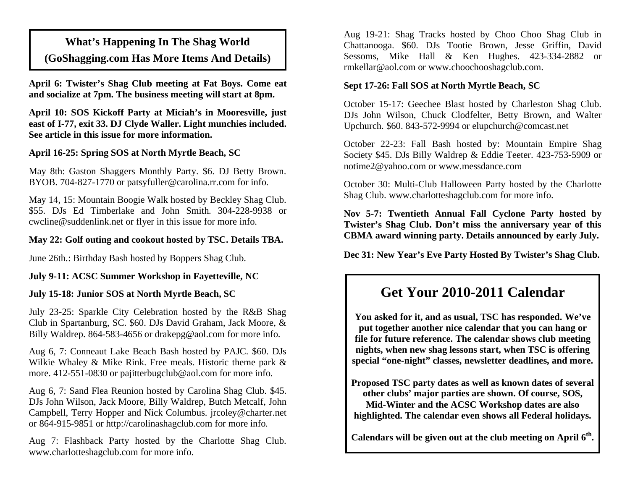## **What's Happening In The Shag World (GoShagging.com Has More Items And Details)**

**April 6: Twister's Shag Club meeting at Fat Boys. Come eat and socialize at 7pm. The business meeting will start at 8pm.** 

**April 10: SOS Kickoff Party at Miciah's in Mooresville, just east of I-77, exit 33. DJ Clyde Waller. Light munchies included. See article in this issue for more information.** 

#### **April 16-25: Spring SOS at North Myrtle Beach, SC**

May 8th: Gaston Shaggers Monthly Party. \$6. DJ Betty Brown. BYOB. 704-827-1770 or patsyfuller@carolina.rr.com for info.

May 14, 15: Mountain Boogie Walk hosted by Beckley Shag Club. \$55. DJs Ed Timberlake and John Smith. 304-228-9938 or cwcline@suddenlink.net or flyer in this issue for more info.

#### **May 22: Golf outing and cookout hosted by TSC. Details TBA.**

June 26th.: Birthday Bash hosted by Boppers Shag Club.

#### **July 9-11: ACSC Summer Workshop in Fayetteville, NC**

#### **July 15-18: Junior SOS at North Myrtle Beach, SC**

July 23-25: Sparkle City Celebration hosted by the R&B Shag Club in Spartanburg, SC. \$60. DJs David Graham, Jack Moore, & Billy Waldrep. 864-583-4656 or drakepg@aol.com for more info.

Aug 6, 7: Conneaut Lake Beach Bash hosted by PAJC. \$60. DJs Wilkie Whaley & Mike Rink. Free meals. Historic theme park & more. 412-551-0830 or pajitterbugclub@aol.com for more info.

Aug 6, 7: Sand Flea Reunion hosted by Carolina Shag Club. \$45. DJs John Wilson, Jack Moore, Billy Waldrep, Butch Metcalf, John Campbell, Terry Hopper and Nick Columbus. jrcoley@charter.net or 864-915-9851 or http://carolinashagclub.com for more info.

Aug 7: Flashback Party hosted by the Charlotte Shag Club. www.charlotteshagclub.com for more info.

Aug 19-21: Shag Tracks hosted by Choo Choo Shag Club in Chattanooga. \$60. DJs Tootie Brown, Jesse Griffin, David Sessoms, Mike Hall & Ken Hughes. 423-334-2882 or rmkellar@aol.com or www.choochooshagclub.com.

#### **Sept 17-26: Fall SOS at North Myrtle Beach, SC**

October 15-17: Geechee Blast hosted by Charleston Shag Club. DJs John Wilson, Chuck Clodfelter, Betty Brown, and Walter Upchurch. \$60. 843-572-9994 or elupchurch@comcast.net

October 22-23: Fall Bash hosted by: Mountain Empire Shag Society \$45. DJs Billy Waldrep & Eddie Teeter. 423-753-5909 or notime2@yahoo.com or www.messdance.com

October 30: Multi-Club Halloween Party hosted by the Charlotte Shag Club. www.charlotteshagclub.com for more info.

**Nov 5-7: Twentieth Annual Fall Cyclone Party hosted by Twister's Shag Club. Don't miss the anniversary year of this CBMA award winning party. Details announced by early July.** 

**Dec 31: New Year's Eve Party Hosted By Twister's Shag Club.** 

## **Get Your 2010-2011 Calendar**

**You asked for it, and as usual, TSC has responded. We've put together another nice calendar that you can hang or file for future reference. The calendar shows club meeting nights, when new shag lessons start, when TSC is offering special "one-night" classes, newsletter deadlines, and more.** 

**Proposed TSC party dates as well as known dates of several other clubs' major parties are shown. Of course, SOS, Mid-Winter and the ACSC Workshop dates are also highlighted. The calendar even shows all Federal holidays.** 

**Calendars will be given out at the club meeting on April 6th.**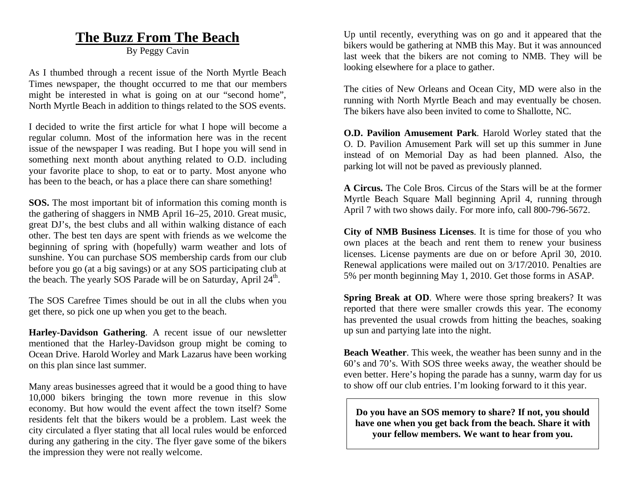### **The Buzz From The Beach**

By Peggy Cavin

As I thumbed through a recent issue of the North Myrtle Beach Times newspaper, the thought occurred to me that our members might be interested in what is going on at our "second home", North Myrtle Beach in addition to things related to the SOS events.

I decided to write the first article for what I hope will become a regular column. Most of the information here was in the recent issue of the newspaper I was reading. But I hope you will send in something next month about anything related to O.D. including your favorite place to shop, to eat or to party. Most anyone who has been to the beach, or has a place there can share something!

**SOS.** The most important bit of information this coming month is the gathering of shaggers in NMB April 16–25, 2010. Great music, great DJ's, the best clubs and all within walking distance of each other. The best ten days are spent with friends as we welcome the beginning of spring with (hopefully) warm weather and lots of sunshine. You can purchase SOS membership cards from our club before you go (at a big savings) or at any SOS participating club at the beach. The yearly SOS Parade will be on Saturday, April  $24^{\text{th}}$ .

The SOS Carefree Times should be out in all the clubs when you get there, so pick one up when you get to the beach.

**Harley-Davidson Gathering**. A recent issue of our newsletter mentioned that the Harley-Davidson group might be coming to Ocean Drive. Harold Worley and Mark Lazarus have been working on this plan since last summer.

Many areas businesses agreed that it would be a good thing to have 10,000 bikers bringing the town more revenue in this slow economy. But how would the event affect the town itself? Some residents felt that the bikers would be a problem. Last week the city circulated a flyer stating that all local rules would be enforced during any gathering in the city. The flyer gave some of the bikers the impression they were not really welcome.

Up until recently, everything was on go and it appeared that the bikers would be gathering at NMB this May. But it was announced last week that the bikers are not coming to NMB. They will be looking elsewhere for a place to gather.

The cities of New Orleans and Ocean City, MD were also in the running with North Myrtle Beach and may eventually be chosen. The bikers have also been invited to come to Shallotte, NC.

**O.D. Pavilion Amusement Park**. Harold Worley stated that the O. D. Pavilion Amusement Park will set up this summer in June instead of on Memorial Day as had been planned. Also, the parking lot will not be paved as previously planned.

**A Circus.** The Cole Bros. Circus of the Stars will be at the former Myrtle Beach Square Mall beginning April 4, running through April 7 with two shows daily. For more info, call 800-796-5672.

**City of NMB Business Licenses**. It is time for those of you who own places at the beach and rent them to renew your business licenses. License payments are due on or before April 30, 2010. Renewal applications were mailed out on 3/17/2010. Penalties are 5% per month beginning May 1, 2010. Get those forms in ASAP.

**Spring Break at OD.** Where were those spring breakers? It was reported that there were smaller crowds this year. The economy has prevented the usual crowds from hitting the beaches, soaking up sun and partying late into the night.

**Beach Weather**. This week, the weather has been sunny and in the 60's and 70's. With SOS three weeks away, the weather should be even better. Here's hoping the parade has a sunny, warm day for us to show off our club entries. I'm looking forward to it this year.

**Do you have an SOS memory to share? If not, you should have one when you get back from the beach. Share it with your fellow members. We want to hear from you.**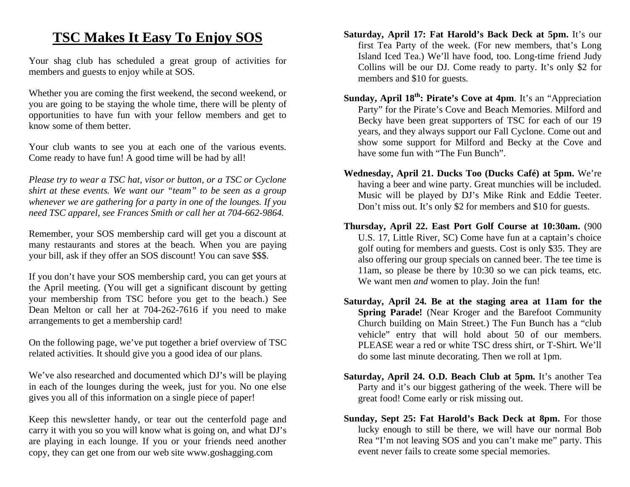## **TSC Makes It Easy To Enjoy SOS**

Your shag club has scheduled a great group of activities for members and guests to enjoy while at SOS.

Whether you are coming the first weekend, the second weekend, or you are going to be staying the whole time, there will be plenty of opportunities to have fun with your fellow members and get to know some of them better.

Your club wants to see you at each one of the various events. Come ready to have fun! A good time will be had by all!

*Please try to wear a TSC hat, visor or button, or a TSC or Cyclone shirt at these events. We want our "team" to be seen as a group whenever we are gathering for a party in one of the lounges. If you need TSC apparel, see Frances Smith or call her at 704-662-9864.* 

Remember, your SOS membership card will get you a discount at many restaurants and stores at the beach. When you are paying your bill, ask if they offer an SOS discount! You can save \$\$\$.

If you don't have your SOS membership card, you can get yours at the April meeting. (You will get a significant discount by getting your membership from TSC before you get to the beach.) See Dean Melton or call her at 704-262-7616 if you need to make arrangements to get a membership card!

On the following page, we've put together a brief overview of TSC related activities. It should give you a good idea of our plans.

We've also researched and documented which DJ's will be playing in each of the lounges during the week, just for you. No one else gives you all of this information on a single piece of paper!

Keep this newsletter handy, or tear out the centerfold page and carry it with you so you will know what is going on, and what DJ's are playing in each lounge. If you or your friends need another copy, they can get one from our web site www.goshagging.com

- **Saturday, April 17: Fat Harold's Back Deck at 5pm.** It's our first Tea Party of the week. (For new members, that's Long Island Iced Tea.) We'll have food, too. Long-time friend Judy Collins will be our DJ. Come ready to party. It's only \$2 for members and \$10 for guests.
- **Sunday, April 18<sup>th</sup>: Pirate's Cove at 4pm.** It's an "Appreciation" Party" for the Pirate's Cove and Beach Memories. Milford and Becky have been great supporters of TSC for each of our 19 years, and they always support our Fall Cyclone. Come out and show some support for Milford and Becky at the Cove and have some fun with "The Fun Bunch".
- **Wednesday, April 21. Ducks Too (Ducks Café) at 5pm.** We're having a beer and wine party. Great munchies will be included. Music will be played by DJ's Mike Rink and Eddie Teeter. Don't miss out. It's only \$2 for members and \$10 for guests.
- **Thursday, April 22. East Port Golf Course at 10:30am.** (900 U.S. 17, Little River, SC) Come have fun at a captain's choice golf outing for members and guests. Cost is only \$35. They are also offering our group specials on canned beer. The tee time is 11am, so please be there by 10:30 so we can pick teams, etc. We want men *and* women to play. Join the fun!
- **Saturday, April 24. Be at the staging area at 11am for the Spring Parade!** (Near Kroger and the Barefoot Community Church building on Main Street.) The Fun Bunch has a "club vehicle" entry that will hold about 50 of our members. PLEASE wear a red or white TSC dress shirt, or T-Shirt. We'll do some last minute decorating. Then we roll at 1pm.
- **Saturday, April 24. O.D. Beach Club at 5pm.** It's another Tea Party and it's our biggest gathering of the week. There will be great food! Come early or risk missing out.
- **Sunday, Sept 25: Fat Harold's Back Deck at 8pm.** For those lucky enough to still be there, we will have our normal Bob Rea "I'm not leaving SOS and you can't make me" party. This event never fails to create some special memories.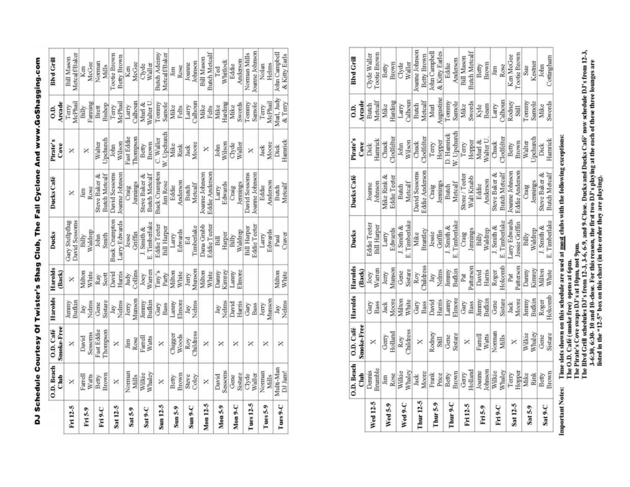| Dennis<br>Wed 12-5<br>Wed 5-9 | Ĵ               | O.D. Café        | Harolds | Harolds          | Ducks              | Ducks Café           | Pirate's            | G.D.                  | <b>Blvd Grill</b>    |
|-------------------------------|-----------------|------------------|---------|------------------|--------------------|----------------------|---------------------|-----------------------|----------------------|
|                               |                 | Smoke-Free       |         | (Back)           |                    |                      | Cove                | Arcade                |                      |
|                               |                 | ×                | Ğ       | Joey             | Eddie Teeter       | Joanne               | Dick                |                       | Clyde Waller         |
|                               | Brumble         |                  | Bass    | Warren           | <b>Bill Harper</b> | Johnson              | Hamrick             | Butch<br>Metcalf      | Tootie Brown         |
|                               | Jim             | Gerry            | Jack    | Jerry            | Larry              | Mike Rink            | Chuck               | Mike                  | Betty                |
|                               | Rose            | Holland          | Moore   | Munson           | Edwards            | Eddie Teeter         | <b>Nodfelter</b>    | Harding               | Brown                |
|                               | Wilkie          | Roy              | Milton  | Gene             | J. Smith &         | Butch                | John                | Larry                 | Clyde                |
| Wed 9-C                       | Whaley          | <b>Childress</b> | White   | Sistare          | E. Timberlake      | Metcalf              | Wilson              | Calhoun               | Waller               |
|                               | Jack            | ×                | Gary    | Roy<br>Childress | Mike               | David Sessoms        | Chuck               | Butch                 | Joanne Johnson       |
| Thur 12-5                     | Moore           |                  | Bass    |                  | Brantley           | Eddie Anderson       | Clodfelter          | Metcalf               | Betty Brown          |
|                               | Frank           | Rodney           | David   |                  | Jessie             |                      | Terry               | Murl                  | John Campbell        |
| Thur 5-9                      | Price           | Still            | Harris  | Jay<br>Nelms     | Griffin            | Craig<br>Jennings    | Hopper              | Augustine             | & Kitty Earles       |
| Thur 9-C                      | Betty           | Gene             | Larmy   | Jimmy            | J. Smith &         | Butch                | D. Hamrick          | Tommy                 | Eddie                |
|                               | Brown           | Sistare          | Elmore  | Bufkin           | E. Timberlake      | Metcalf              | W. Upchurch         | Samole                | Anderson             |
| Fri 12-5                      | Gerry           | ×                | Gary    | Pat              | Craig              | Stone / Teeter       | Terry               | Mike                  | <b>Bill Mason</b>    |
|                               | Holland         |                  | Bass    | Patterson        | Jennings           | Walt Knabb           | Hopper              | Swords                | <b>Butch Metcalf</b> |
| Fri <sub>5-9</sub>            | Joanne          | Farrell          | Jimmy   | David            | Billy              | Eddie                | Murl &<br>Walter U. |                       |                      |
|                               | lohnson         | Watts            | Bufkin  | Harris           | Waldrep            | Anderson             |                     |                       | Betty<br>Brown       |
| Fri 9-C                       | Wilkie          | Norman           | Gene    | Roger            | J. Smith &         | Steve Baker &        | Chuck               | Kyle<br>Beam<br>Larry | Jim                  |
|                               | Whaley          | Mills            | Sistare | Holcomb          | E. Timberlake      | <b>Butch Metcalf</b> | Clodfelter          | Calhoun               | Rose                 |
|                               |                 |                  | Jack    | Pat              | Larry Edwards      | Joanne Johnson       | Betty               | Rodney                | Ken McGee            |
| Sat 12-5                      | Terry<br>Hopper |                  | Moore   | Patterson        | Jessie Griffin     | Eddie Anderson       | Brown               | Still                 | Tootie Brown         |
| Sat 5-9                       | Mike            | Wilkie           | Jimmy   | Danny            | Billy              | Craig                | Walter              | Tommy                 | Sue                  |
|                               | Řink            | Whaley           | Bufkin  | Kinney           | Waldrep            | Jennings             | Jpchurch            | Samole                | Kestner              |
| Sat 9-C                       | Betty           | Gene             | Roger   | Milton           | J. Smith &         | Steve Baker &        | Dick                | Mike                  | John                 |
|                               | Brown           | Sistare          | Holcomb | White            | E. Timberlake      | <b>Butch Metcalf</b> | Hamrick             | Swords                | Cottingham           |

**Important Notes:** 

Time slots shown on this schedule are used at <u>most</u> clubs with the following exceptions:<br>The O.D. Café (smoke free) opens at 6pm.<br>The Pirate's Cove swaps DJ's at 10pm, not 9pm.<br>The Blyd Grill schedules DJ's from 12-3, 3-6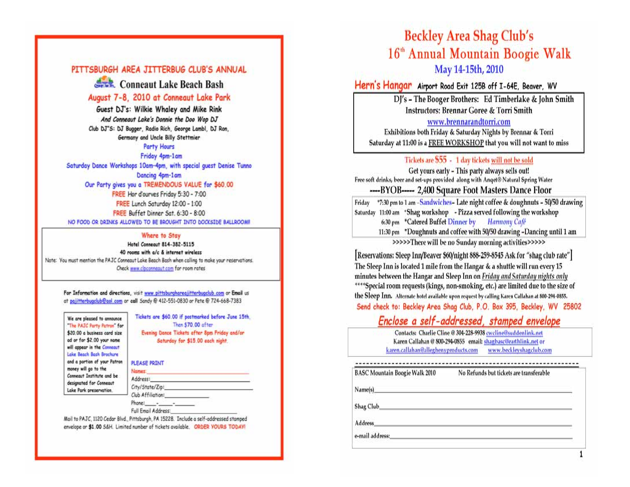#### PITTSBURGH AREA JITTERBUG CLUB'S ANNUAL

Conneaut Lake Beach Bash

#### August 7-8, 2010 at Conneaut Lake Park

Guest DJ's: Wilkie Whaley and Mike Rink And Conneaut Lake's Donnie the Doo Wop DJ Club DJ"S: DJ Bugger, Radio Rich, George Lambl, DJ Ron, Germany and Uncle Billy Stettmier

#### **Party Hours**

Friday 4pm-1am

Saturday Dance Workshops 10am-4pm, with special quest Denise Tunno Dancing 4pm-1am Our Party gives you a TREMENDOUS VALUE for \$60.00 FREE Hor d'ourves Friday 5:30 - 7:00 FREE Lunch Saturday 12:00 - 1:00 FREE Buffet Dinner Sat. 6:30 - 8:00 NO FOOD OR DRINKS ALLOWED TO BE BROUGHT INTO DOCKSIDE BALLROOM!

#### Where to Stay

Hotel Conneaut 814-382-5115 40 rooms with a/c & internet wireless Note: You must mention the PAJC Conneaut Lake Beach Bash when calling to make your reservations. Check www.cipconnegut.com for room rates

For Information and directions, visit www.pittsburghareajitterbugclub.com or Email us at pajitterbugclub@apl.com or call Sandy @ 412-551-0830 or Pete @ 724-668-7383

| We are pleased to announce   |  |
|------------------------------|--|
| The PAJC Party Patron for    |  |
| \$20.00 a business card size |  |
| ad or for \$2.00 your name   |  |
| will appear in the Connecut  |  |
| Lake Beach Bash Brochure     |  |
| and a portion of your Patron |  |
| money will go to the         |  |
| Conneaut Institute and be    |  |
| designated for Conneaut      |  |
| Lake Park preservation.      |  |

Tickets are \$60.00 if postmarked before June 15th. Then \$70,00 after Evening Dance Tickets after 8pm Friday and/or Saturday for \$15.00 each night

#### **PLEASE PRINT**

| Address:            |  |
|---------------------|--|
|                     |  |
| Club Affiliation:   |  |
| Phone: -            |  |
| Full Email Address: |  |

Mail to PAJC, 1120 Cedar Blvd., Pittsburgh, PA 15228. Include a self-addressed stamped envelope or \$1,00 S&H. Limited number of tickets available. ORDER YOURS TODAY!

## **Beckley Area Shag Club's** 16<sup>th</sup> Annual Mountain Boogie Walk May 14-15th, 2010

Hern's Hangar Airport Road Exit 125B off I-64E, Beaver, WV

DI's - The Booger Brothers: Ed Timberlake & John Smith **Instructors: Brennar Goree & Torri Smith** 

www.brennarandtorri.com

Exhibitions both Friday & Saturday Nights by Brennar & Torri Saturday at 11:00 is a FREE WORKSHOP that you will not want to miss

#### Tickets are \$55 - 1 day tickets will not be sold

Get yours early - This party always sells out! Free soft drinks, beer and set-ups provided along with Anget® Natural Spring Water ----BYOB----- 2,400 Square Foot Masters Dance Floor

Friday \*7:30 pm to 1 am -Sandwiches- Late night coffee & doughnuts - 50/50 drawing Saturday 11:00 am \*Shag workshop - Pizza served following the workshop 6:30 pm \*Catered Buffet Dinner by Harmony Café 11:30 pm \*Doughnuts and coffee with 50/50 drawing -Dancing until 1 am

>>>>>There will be no Sunday morning activities>>>>>

[Reservations: Sleep Inn/Beaver \$60/night 888-259-8545 Ask for "shag club rate"] The Sleep Inn is located 1 mile from the Hangar & a shuttle will run every 15 minutes between the Hangar and Sleep Inn on Friday and Saturday nights only \*\*\*\*Special room requests (kings, non-smoking, etc.) are limited due to the size of the Sleep Inn. Alternate hotel available upon request by calling Karen Callahan at 800-294-0855. Send check to: Beckley Area Shag Club, P.O. Box 395, Beckley, WV 25802

#### Enclose a self-addressed, stamped envelope

Contacts: Charlie Cline @ 304-228-9938 cwcline@suddenlink.net Karen Callahan @ 800-294-0855 email: shagbasc@earthlink.net or karen.callahan@alleghenvproducts.com www.beckleyshagclub.com

No Refunds but tickets are transferable

Name(s)

**BASC Mountain Boogie Walk 2010** 

Shag Club

Address

e-mail address: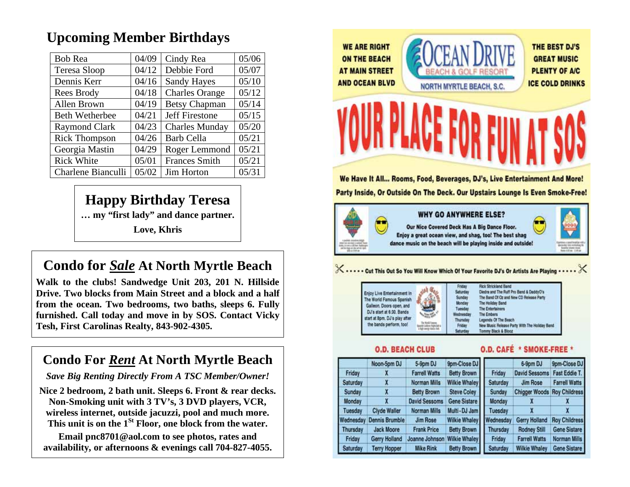## **Upcoming Member Birthdays**

| <b>Bob Rea</b>        | 04/09 | Cindy Rea             | 05/06 |
|-----------------------|-------|-----------------------|-------|
| Teresa Sloop          | 04/12 | Debbie Ford           | 05/07 |
| Dennis Kerr           | 04/16 | <b>Sandy Hayes</b>    | 05/10 |
| Rees Brody            | 04/18 | <b>Charles Orange</b> | 05/12 |
| Allen Brown           | 04/19 | <b>Betsy Chapman</b>  | 05/14 |
| <b>Beth Wetherbee</b> | 04/21 | <b>Jeff Firestone</b> | 05/15 |
| <b>Raymond Clark</b>  | 04/23 | <b>Charles Munday</b> | 05/20 |
| <b>Rick Thompson</b>  | 04/26 | <b>Barb Cella</b>     | 05/21 |
| Georgia Mastin        | 04/29 | Roger Lemmond         | 05/21 |
| <b>Rick White</b>     | 05/01 | <b>Frances Smith</b>  | 05/21 |
| Charlene Bianculli    | 05/02 | Jim Horton            | 05/31 |

## **Happy Birthday Teresa**

**… my "first lady" and dance partner.** 

**Love, Khris** 

## **Condo for** *Sale* **At North Myrtle Beach**

**Walk to the clubs! Sandwedge Unit 203, 201 N. Hillside Drive. Two blocks from Main Street and a block and a half from the ocean. Two bedrooms, two baths, sleeps 6. Fully furnished. Call today and move in by SOS. Contact Vicky Tesh, First Carolinas Realty, 843-902-4305.** 

## **Condo For** *Rent* **At North Myrtle Beach**

*Save Big Renting Directly From A TSC Member/Owner!* 

**Nice 2 bedroom, 2 bath unit. Sleeps 6. Front & rear decks. Non-Smoking unit with 3 TV's, 3 DVD players, VCR, wireless internet, outside jacuzzi, pool and much more. This unit is on the 1St Floor, one block from the water.** 

**Email pnc8701@aol.com to see photos, rates and availability, or afternoons & evenings call 704-827-4055.** 



We Have It All... Rooms, Food, Beverages, DJ's, Live Entertainment And More! Party Inside, Or Outside On The Deck. Our Upstairs Lounge Is Even Smoke-Free!



#### X ..... Cut This Out So You Will Know Which Of Your Favorite DJ's Or Artists Are Playing .

Wednes Thursd

| joy Live Entertainment in<br>e World Famous Spanish<br>alleon. Doors open, and<br>U's start at 6:30. Bands<br>art at 8pm. DJ's play after |  |
|-------------------------------------------------------------------------------------------------------------------------------------------|--|
| the bands perform, too!                                                                                                                   |  |

| Friday              | <b>Rick Strickland Band</b>                |
|---------------------|--------------------------------------------|
| Saturday            | Diedra and The Ruff Pro Sand & DaddyO's    |
| Sunday              | The Band Of Oz and New CD Release Party    |
| Monday              | The Holiday Band                           |
| Toesday             | <b>The Entertainers</b>                    |
| Vednesday           | <b>The Embers</b>                          |
| Thursday            | Legends Of The Beach                       |
| Friday              | New Music Release Party With The Holiday 1 |
| <b>Cash profits</b> | Tommy Black & Blooz                        |

**O.D. BEACH CLUB** 

**O.D. CAFÉ \* SMOKE-FREE \*** 

|           | Noon-5pm DJ           | 5-9pm DJ             | 9pm-Close DJ         |           | 6-9pm DJ                           | 9pm-Close DJ         |
|-----------|-----------------------|----------------------|----------------------|-----------|------------------------------------|----------------------|
| Friday    |                       | <b>Farrell Watts</b> | <b>Betty Brown</b>   | Friday    | <b>David Sessoms</b>               | <b>Fast Eddie T.</b> |
| Saturday  |                       | <b>Norman Mills</b>  | <b>Wilkie Whaley</b> | Saturday  | <b>Jim Rose</b>                    | <b>Farrell Watts</b> |
| Sunday    |                       | <b>Betty Brown</b>   | <b>Steve Coley</b>   | Sunday    | <b>Chigger Woods Roy Childress</b> |                      |
| Monday    |                       | <b>David Sessoms</b> | Gene Sistare         | Monday    |                                    |                      |
| Tuesday   | Civde Waller          | Norman Mills         | Multi-DJ Jam         | Tuesday   |                                    |                      |
| Wednesday | <b>Dennis Brumble</b> | <b>Jim Rose</b>      | <b>Wilkie Whaley</b> | Wednesday | Gerry Holland                      | <b>Roy Childress</b> |
| Thursday  | <b>Jack Moore</b>     | <b>Frank Price</b>   | <b>Betty Brown</b>   | Thursday  | <b>Rodney Still</b>                | <b>Gene Sistare</b>  |
| Friday    | Gerry Holland         | Joanne Johnson       | <b>Wilkie Whaley</b> | Friday    | <b>Farrell Watts</b>               | <b>Norman Mills</b>  |
| Saturday  | <b>Terry Hopper</b>   | <b>Mike Rink</b>     | <b>Betty Brown</b>   | Saturday  | <b>Wilkie Whaley</b>               | <b>Gene Sistare</b>  |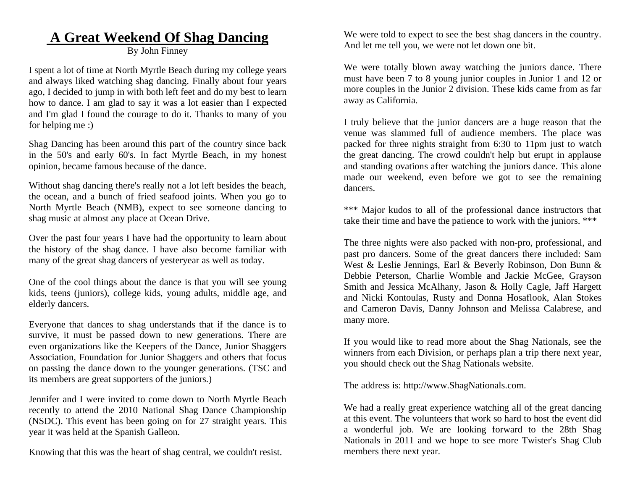## **A Great Weekend Of Shag Dancing**

#### By John Finney

I spent a lot of time at North Myrtle Beach during my college years and always liked watching shag dancing. Finally about four years ago, I decided to jump in with both left feet and do my best to learn how to dance. I am glad to say it was a lot easier than I expected and I'm glad I found the courage to do it. Thanks to many of you for helping me :)

Shag Dancing has been around this part of the country since back in the 50's and early 60's. In fact Myrtle Beach, in my honest opinion, became famous because of the dance.

Without shag dancing there's really not a lot left besides the beach, the ocean, and a bunch of fried seafood joints. When you go to North Myrtle Beach (NMB), expect to see someone dancing to shag music at almost any place at Ocean Drive.

Over the past four years I have had the opportunity to learn about the history of the shag dance. I have also become familiar with many of the great shag dancers of yesteryear as well as today.

One of the cool things about the dance is that you will see young kids, teens (juniors), college kids, young adults, middle age, and elderly dancers.

Everyone that dances to shag understands that if the dance is to survive, it must be passed down to new generations. There are even organizations like the Keepers of the Dance, Junior Shaggers Association, Foundation for Junior Shaggers and others that focus on passing the dance down to the younger generations. (TSC and its members are great supporters of the juniors.)

Jennifer and I were invited to come down to North Myrtle Beach recently to attend the 2010 National Shag Dance Championship (NSDC). This event has been going on for 27 straight years. This year it was held at the Spanish Galleon.

Knowing that this was the heart of shag central, we couldn't resist.

We were told to expect to see the best shag dancers in the country. And let me tell you, we were not let down one bit.

We were totally blown away watching the juniors dance. There must have been 7 to 8 young junior couples in Junior 1 and 12 or more couples in the Junior 2 division. These kids came from as far away as California.

I truly believe that the junior dancers are a huge reason that the venue was slammed full of audience members. The place was packed for three nights straight from 6:30 to 11pm just to watch the great dancing. The crowd couldn't help but erupt in applause and standing ovations after watching the juniors dance. This alone made our weekend, even before we got to see the remaining dancers.

\*\*\* Major kudos to all of the professional dance instructors that take their time and have the patience to work with the juniors. \*\*\*

The three nights were also packed with non-pro, professional, and past pro dancers. Some of the great dancers there included: Sam West & Leslie Jennings, Earl & Beverly Robinson, Don Bunn & Debbie Peterson, Charlie Womble and Jackie McGee, Grayson Smith and Jessica McAlhany, Jason & Holly Cagle, Jaff Hargett and Nicki Kontoulas, Rusty and Donna Hosaflook, Alan Stokes and Cameron Davis, Danny Johnson and Melissa Calabrese, and many more.

If you would like to read more about the Shag Nationals, see the winners from each Division, or perhaps plan a trip there next year, you should check out the Shag Nationals website.

The address is: http://www.ShagNationals.com.

We had a really great experience watching all of the great dancing at this event. The volunteers that work so hard to host the event did a wonderful job. We are looking forward to the 28th Shag Nationals in 2011 and we hope to see more Twister's Shag Club members there next year.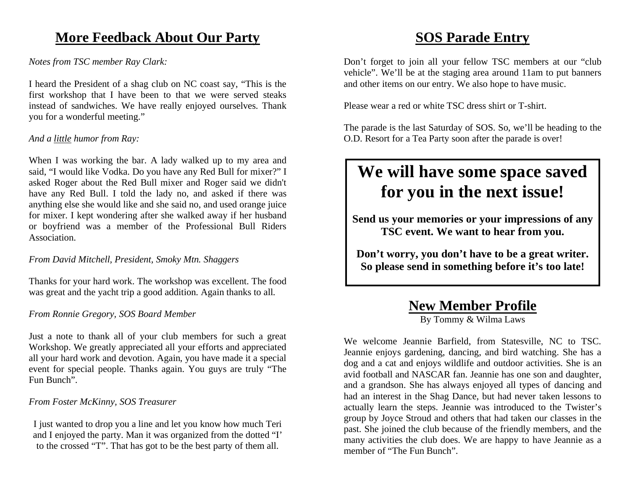## **More Feedback About Our Party**

*Notes from TSC member Ray Clark:* 

I heard the President of a shag club on NC coast say, "This is the first workshop that I have been to that we were served steaks instead of sandwiches. We have really enjoyed ourselves. Thank you for a wonderful meeting."

#### *And a little humor from Ray:*

When I was working the bar. A lady walked up to my area and said, "I would like Vodka. Do you have any Red Bull for mixer?" I asked Roger about the Red Bull mixer and Roger said we didn't have any Red Bull. I told the lady no, and asked if there was anything else she would like and she said no, and used orange juice for mixer. I kept wondering after she walked away if her husband or boyfriend was a member of the Professional Bull Riders Association.

*From David Mitchell, President, Smoky Mtn. Shaggers* 

Thanks for your hard work. The workshop was excellent. The food was great and the yacht trip a good addition. Again thanks to all.

*From Ronnie Gregory, SOS Board Member* 

Just a note to thank all of your club members for such a great Workshop. We greatly appreciated all your efforts and appreciated all your hard work and devotion. Again, you have made it a special event for special people. Thanks again. You guys are truly "The Fun Bunch".

#### *From Foster McKinny, SOS Treasurer*

I just wanted to drop you a line and let you know how much Teri and I enjoyed the party. Man it was organized from the dotted "I' to the crossed "T". That has got to be the best party of them all.

## **SOS Parade Entry**

Don't forget to join all your fellow TSC members at our "club vehicle". We'll be at the staging area around 11am to put banners and other items on our entry. We also hope to have music.

Please wear a red or white TSC dress shirt or T-shirt.

The parade is the last Saturday of SOS. So, we'll be heading to the O.D. Resort for a Tea Party soon after the parade is over!

## **We will have some space saved for you in the next issue!**

**Send us your memories or your impressions of any TSC event. We want to hear from you.** 

**Don't worry, you don't have to be a great writer. So please send in something before it's too late!** 

## **New Member Profile**

By Tommy & Wilma Laws

We welcome Jeannie Barfield, from Statesville, NC to TSC. Jeannie enjoys gardening, dancing, and bird watching. She has a dog and a cat and enjoys wildlife and outdoor activities. She is an avid football and NASCAR fan. Jeannie has one son and daughter, and a grandson. She has always enjoyed all types of dancing and had an interest in the Shag Dance, but had never taken lessons to actually learn the steps. Jeannie was introduced to the Twister's group by Joyce Stroud and others that had taken our classes in the past. She joined the club because of the friendly members, and the many activities the club does. We are happy to have Jeannie as a member of "The Fun Bunch".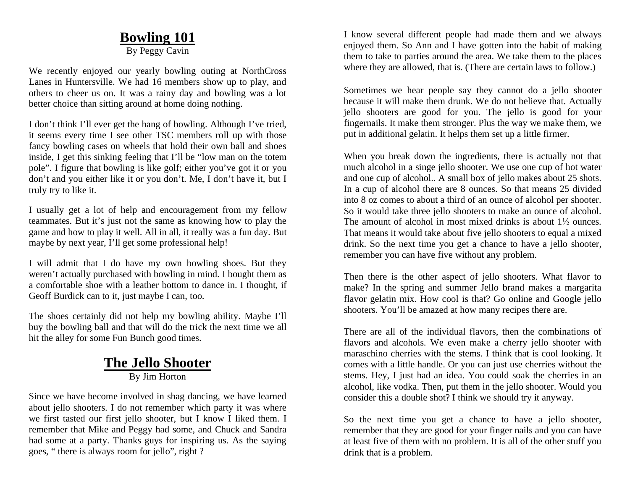## **Bowling 101**

By Peggy Cavin

We recently enjoyed our yearly bowling outing at NorthCross Lanes in Huntersville. We had 16 members show up to play, and others to cheer us on. It was a rainy day and bowling was a lot better choice than sitting around at home doing nothing.

I don't think I'll ever get the hang of bowling. Although I've tried, it seems every time I see other TSC members roll up with those fancy bowling cases on wheels that hold their own ball and shoes inside, I get this sinking feeling that I'll be "low man on the totem pole". I figure that bowling is like golf; either you've got it or you don't and you either like it or you don't. Me, I don't have it, but I truly try to like it.

I usually get a lot of help and encouragement from my fellow teammates. But it's just not the same as knowing how to play the game and how to play it well. All in all, it really was a fun day. But maybe by next year, I'll get some professional help!

I will admit that I do have my own bowling shoes. But they weren't actually purchased with bowling in mind. I bought them as a comfortable shoe with a leather bottom to dance in. I thought, if Geoff Burdick can to it, just maybe I can, too.

The shoes certainly did not help my bowling ability. Maybe I'll buy the bowling ball and that will do the trick the next time we all hit the alley for some Fun Bunch good times.

#### **The Jello Shooter** By Jim Horton

Since we have become involved in shag dancing, we have learned about jello shooters. I do not remember which party it was where we first tasted our first jello shooter, but I know I liked them. I remember that Mike and Peggy had some, and Chuck and Sandra had some at a party. Thanks guys for inspiring us. As the saying goes, " there is always room for jello", right ?

I know several different people had made them and we always enjoyed them. So Ann and I have gotten into the habit of making them to take to parties around the area. We take them to the places where they are allowed, that is. (There are certain laws to follow.)

Sometimes we hear people say they cannot do a jello shooter because it will make them drunk. We do not believe that. Actually jello shooters are good for you. The jello is good for your fingernails. It make them stronger. Plus the way we make them, we put in additional gelatin. It helps them set up a little firmer.

When you break down the ingredients, there is actually not that much alcohol in a singe jello shooter. We use one cup of hot water and one cup of alcohol.. A small box of jello makes about 25 shots. In a cup of alcohol there are 8 ounces. So that means 25 divided into 8 oz comes to about a third of an ounce of alcohol per shooter. So it would take three jello shooters to make an ounce of alcohol. The amount of alcohol in most mixed drinks is about  $1\frac{1}{2}$  ounces. That means it would take about five jello shooters to equal a mixed drink. So the next time you get a chance to have a jello shooter, remember you can have five without any problem.

Then there is the other aspect of jello shooters. What flavor to make? In the spring and summer Jello brand makes a margarita flavor gelatin mix. How cool is that? Go online and Google jello shooters. You'll be amazed at how many recipes there are.

There are all of the individual flavors, then the combinations of flavors and alcohols. We even make a cherry jello shooter with maraschino cherries with the stems. I think that is cool looking. It comes with a little handle. Or you can just use cherries without the stems. Hey, I just had an idea. You could soak the cherries in an alcohol, like vodka. Then, put them in the jello shooter. Would you consider this a double shot? I think we should try it anyway.

So the next time you get a chance to have a jello shooter, remember that they are good for your finger nails and you can have at least five of them with no problem. It is all of the other stuff you drink that is a problem.